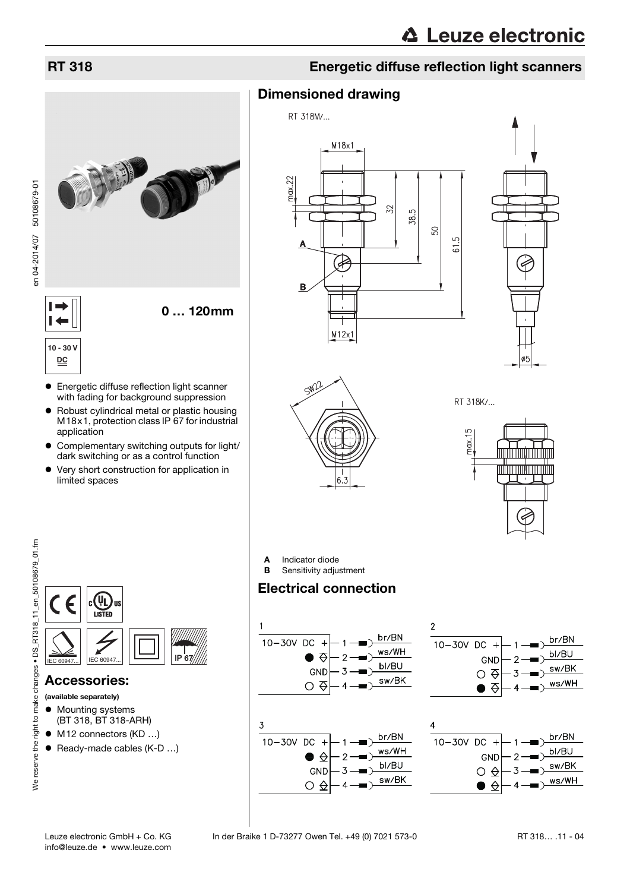

en 04-2014/07 50108679-01

 $\vdash$  $\overline{\phantom{0}}$ **10 - 30 V**

- Robust cylindrical metal or plastic housing M18x1, protection class IP 67 for industrial
- Complementary switching outputs for light/
- 

# RT 318 Energetic diffuse reflection light scanners

# Dimensioned drawing







RT 318K/...



**A** Indicator diode<br>**B** Sensitivity adjust

Sensitivity adjustment

# Electrical connection





<span id="page-0-0"></span>

# Accessories:

- (available separately)
- **•** Mounting systems (BT 318, BT 318-ARH)
- M12 connectors (KD ...)
- Ready-made cables (K-D ...)